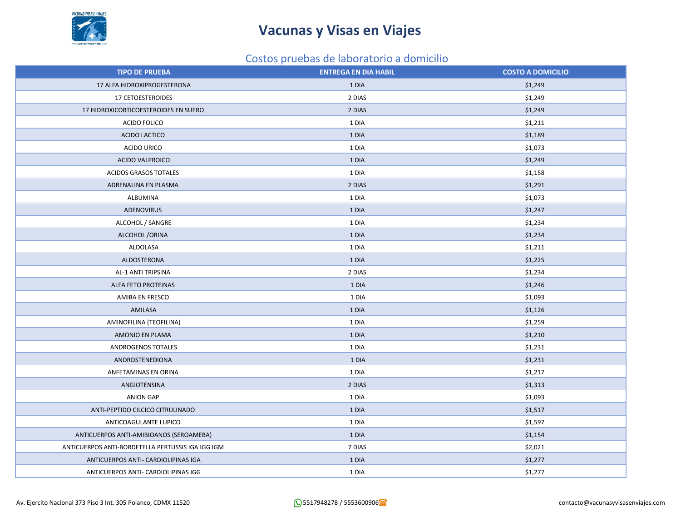

### Costos pruebas de laboratorio a domicilio

| <b>TIPO DE PRUEBA</b>                             | <b>ENTREGA EN DIA HABIL</b> | <b>COSTO A DOMICILIO</b> |
|---------------------------------------------------|-----------------------------|--------------------------|
| 17 ALFA HIDROXIPROGESTERONA                       | 1 DIA                       | \$1,249                  |
| 17 CETOESTEROIDES                                 | 2 DIAS                      | \$1,249                  |
| 17 HIDROXICORTICOESTEROIDES EN SUERO              | 2 DIAS                      | \$1,249                  |
| ACIDO FOLICO                                      | 1 DIA                       | \$1,211                  |
| ACIDO LACTICO                                     | 1 DIA                       | \$1,189                  |
| <b>ACIDO URICO</b>                                | 1 DIA                       | \$1,073                  |
| ACIDO VALPROICO                                   | 1 DIA                       | \$1,249                  |
| ACIDOS GRASOS TOTALES                             | 1 DIA                       | \$1,158                  |
| ADRENALINA EN PLASMA                              | 2 DIAS                      | \$1,291                  |
| ALBUMINA                                          | 1 DIA                       | \$1,073                  |
| <b>ADENOVIRUS</b>                                 | 1 DIA                       | \$1,247                  |
| ALCOHOL / SANGRE                                  | 1 DIA                       | \$1,234                  |
| ALCOHOL / ORINA                                   | 1 DIA                       | \$1,234                  |
| ALDOLASA                                          | 1 DIA                       | \$1,211                  |
| ALDOSTERONA                                       | 1 DIA                       | \$1,225                  |
| AL-1 ANTI TRIPSINA                                | 2 DIAS                      | \$1,234                  |
| ALFA FETO PROTEINAS                               | 1 DIA                       | \$1,246                  |
| AMIBA EN FRESCO                                   | 1 DIA                       | \$1,093                  |
| AMILASA                                           | 1 DIA                       | \$1,126                  |
| AMINOFILINA (TEOFILINA)                           | 1 DIA                       | \$1,259                  |
| AMONIO EN PLAMA                                   | 1 DIA                       | \$1,210                  |
| ANDROGENOS TOTALES                                | 1 DIA                       | \$1,231                  |
| ANDROSTENEDIONA                                   | 1 DIA                       | \$1,231                  |
| ANFETAMINAS EN ORINA                              | 1 DIA                       | \$1,217                  |
| ANGIOTENSINA                                      | 2 DIAS                      | \$1,313                  |
| <b>ANION GAP</b>                                  | 1 DIA                       | \$1,093                  |
| ANTI-PEPTIDO CILCICO CITRULINADO                  | 1 DIA                       | \$1,517                  |
| ANTICOAGULANTE LUPICO                             | 1 DIA                       | \$1,597                  |
| ANTICUERPOS ANTI-AMIBIOANOS (SEROAMEBA)           | 1 DIA                       | \$1,154                  |
| ANTICUERPOS ANTI-BORDETELLA PERTUSSIS IGA IGG IGM | 7 DIAS                      | \$2,021                  |
| ANTICUERPOS ANTI- CARDIOLIPINAS IGA               | 1 DIA                       | \$1,277                  |
| ANTICUERPOS ANTI- CARDIOLIPINAS IGG               | 1 DIA                       | \$1,277                  |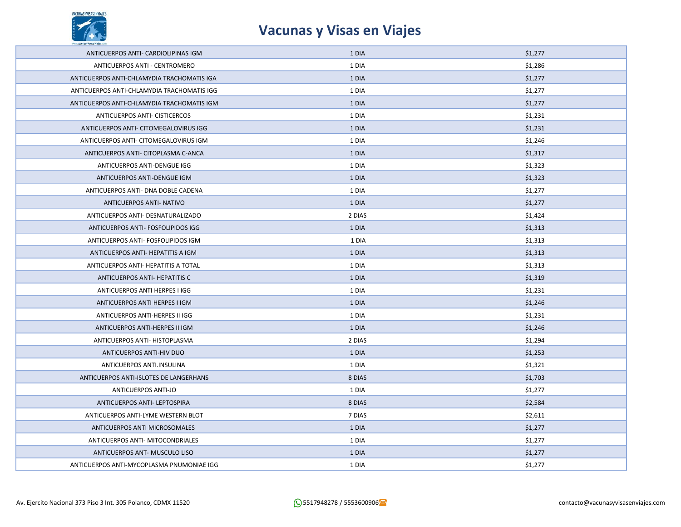

| ANTICUERPOS ANTI- CARDIOLIPINAS IGM        | 1 DIA  | \$1,277 |
|--------------------------------------------|--------|---------|
| ANTICUERPOS ANTI - CENTROMERO              | 1 DIA  | \$1,286 |
| ANTICUERPOS ANTI-CHLAMYDIA TRACHOMATIS IGA | 1 DIA  | \$1,277 |
| ANTICUERPOS ANTI-CHLAMYDIA TRACHOMATIS IGG | 1 DIA  | \$1,277 |
| ANTICUERPOS ANTI-CHLAMYDIA TRACHOMATIS IGM | 1 DIA  | \$1,277 |
| ANTICUERPOS ANTI- CISTICERCOS              | 1 DIA  | \$1,231 |
| ANTICUERPOS ANTI- CITOMEGALOVIRUS IGG      | 1 DIA  | \$1,231 |
| ANTICUERPOS ANTI- CITOMEGALOVIRUS IGM      | 1 DIA  | \$1,246 |
| ANTICUERPOS ANTI- CITOPLASMA C-ANCA        | 1 DIA  | \$1,317 |
| ANTICUERPOS ANTI-DENGUE IGG                | 1 DIA  | \$1,323 |
| ANTICUERPOS ANTI-DENGUE IGM                | 1 DIA  | \$1,323 |
| ANTICUERPOS ANTI- DNA DOBLE CADENA         | 1 DIA  | \$1,277 |
| ANTICUERPOS ANTI- NATIVO                   | 1 DIA  | \$1,277 |
| ANTICUERPOS ANTI- DESNATURALIZADO          | 2 DIAS | \$1,424 |
| ANTICUERPOS ANTI- FOSFOLIPIDOS IGG         | 1 DIA  | \$1,313 |
| ANTICUERPOS ANTI- FOSFOLIPIDOS IGM         | 1 DIA  | \$1,313 |
| ANTICUERPOS ANTI- HEPATITIS A IGM          | 1 DIA  | \$1,313 |
| ANTICUERPOS ANTI- HEPATITIS A TOTAL        | 1 DIA  | \$1,313 |
| ANTICUERPOS ANTI- HEPATITIS C              | 1 DIA  | \$1,319 |
| ANTICUERPOS ANTI HERPES I IGG              | 1 DIA  | \$1,231 |
| ANTICUERPOS ANTI HERPES I IGM              | 1 DIA  | \$1,246 |
| ANTICUERPOS ANTI-HERPES II IGG             | 1 DIA  | \$1,231 |
| ANTICUERPOS ANTI-HERPES II IGM             | 1 DIA  | \$1,246 |
| ANTICUERPOS ANTI- HISTOPLASMA              | 2 DIAS | \$1,294 |
| ANTICUERPOS ANTI-HIV DUO                   | 1 DIA  | \$1,253 |
| ANTICUERPOS ANTI.INSULINA                  | 1 DIA  | \$1,321 |
| ANTICUERPOS ANTI-ISLOTES DE LANGERHANS     | 8 DIAS | \$1,703 |
| <b>ANTICUERPOS ANTI-JO</b>                 | 1 DIA  | \$1,277 |
| ANTICUERPOS ANTI- LEPTOSPIRA               | 8 DIAS | \$2,584 |
| ANTICUERPOS ANTI-LYME WESTERN BLOT         | 7 DIAS | \$2,611 |
| ANTICUERPOS ANTI MICROSOMALES              | 1 DIA  | \$1,277 |
| ANTICUERPOS ANTI- MITOCONDRIALES           | 1 DIA  | \$1,277 |
| ANTICUERPOS ANT- MUSCULO LISO              | 1 DIA  | \$1,277 |
| ANTICUERPOS ANTI-MYCOPLASMA PNUMONIAE IGG  | 1 DIA  | \$1,277 |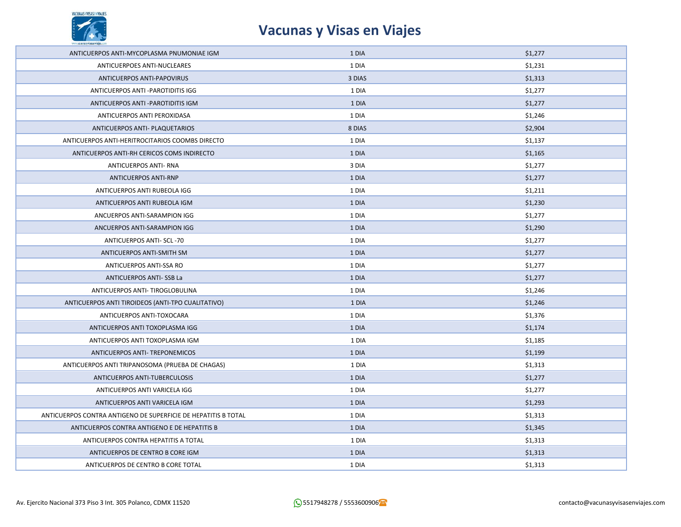

| ANTICUERPOS ANTI-MYCOPLASMA PNUMONIAE IGM                      | 1 DIA  | \$1,277 |
|----------------------------------------------------------------|--------|---------|
| ANTICUERPOES ANTI-NUCLEARES                                    | 1 DIA  | \$1,231 |
| ANTICUERPOS ANTI-PAPOVIRUS                                     | 3 DIAS | \$1,313 |
| ANTICUERPOS ANTI-PAROTIDITIS IGG                               | 1 DIA  | \$1,277 |
| ANTICUERPOS ANTI-PAROTIDITIS IGM                               | 1 DIA  | \$1,277 |
| ANTICUERPOS ANTI PEROXIDASA                                    | 1 DIA  | \$1,246 |
| ANTICUERPOS ANTI- PLAQUETARIOS                                 | 8 DIAS | \$2,904 |
| ANTICUERPOS ANTI-HERITROCITARIOS COOMBS DIRECTO                | 1 DIA  | \$1,137 |
| ANTICUERPOS ANTI-RH CERICOS COMS INDIRECTO                     | 1 DIA  | \$1,165 |
| <b>ANTICUERPOS ANTI- RNA</b>                                   | 3 DIA  | \$1,277 |
| <b>ANTICUERPOS ANTI-RNP</b>                                    | 1 DIA  | \$1,277 |
| ANTICUERPOS ANTI RUBEOLA IGG                                   | 1 DIA  | \$1,211 |
| ANTICUERPOS ANTI RUBEOLA IGM                                   | 1 DIA  | \$1,230 |
| ANCUERPOS ANTI-SARAMPION IGG                                   | 1 DIA  | \$1,277 |
| ANCUERPOS ANTI-SARAMPION IGG                                   | 1 DIA  | \$1,290 |
| ANTICUERPOS ANTI- SCL-70                                       | 1 DIA  | \$1,277 |
| ANTICUERPOS ANTI-SMITH SM                                      | 1 DIA  | \$1,277 |
| ANTICUERPOS ANTI-SSA RO                                        | 1 DIA  | \$1,277 |
| ANTICUERPOS ANTI-SSB La                                        | 1 DIA  | \$1,277 |
| ANTICUERPOS ANTI- TIROGLOBULINA                                | 1 DIA  | \$1,246 |
| ANTICUERPOS ANTI TIROIDEOS (ANTI-TPO CUALITATIVO)              | 1 DIA  | \$1,246 |
| ANTICUERPOS ANTI-TOXOCARA                                      | 1 DIA  | \$1,376 |
| ANTICUERPOS ANTI TOXOPLASMA IGG                                | 1 DIA  | \$1,174 |
| ANTICUERPOS ANTI TOXOPLASMA IGM                                | 1 DIA  | \$1,185 |
| ANTICUERPOS ANTI- TREPONEMICOS                                 | 1 DIA  | \$1,199 |
| ANTICUERPOS ANTI TRIPANOSOMA (PRUEBA DE CHAGAS)                | 1 DIA  | \$1,313 |
| ANTICUERPOS ANTI-TUBERCULOSIS                                  | 1 DIA  | \$1,277 |
| ANTICUERPOS ANTI VARICELA IGG                                  | 1 DIA  | \$1,277 |
| ANTICUERPOS ANTI VARICELA IGM                                  | 1 DIA  | \$1,293 |
| ANTICUERPOS CONTRA ANTIGENO DE SUPERFICIE DE HEPATITIS B TOTAL | 1 DIA  | \$1,313 |
| ANTICUERPOS CONTRA ANTIGENO E DE HEPATITIS B                   | 1 DIA  | \$1,345 |
| ANTICUERPOS CONTRA HEPATITIS A TOTAL                           | 1 DIA  | \$1,313 |
| ANTICUERPOS DE CENTRO B CORE IGM                               | 1 DIA  | \$1,313 |
| ANTICUERPOS DE CENTRO B CORE TOTAL                             | 1 DIA  | \$1,313 |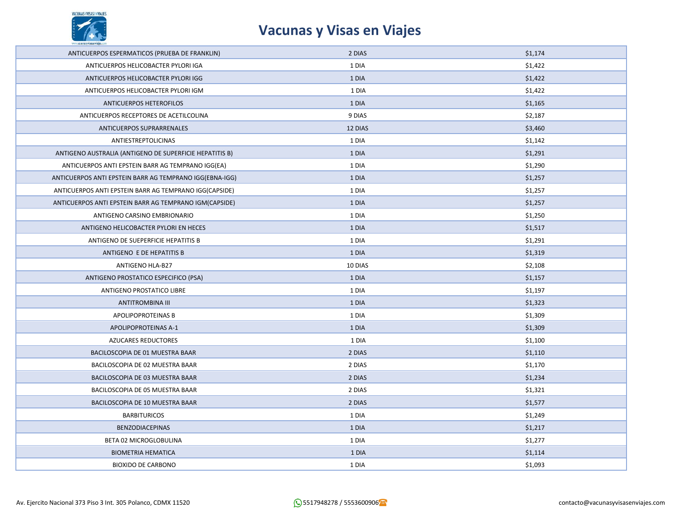

| ANTICUERPOS ESPERMATICOS (PRUEBA DE FRANKLIN)           | 2 DIAS  | \$1,174 |
|---------------------------------------------------------|---------|---------|
| ANTICUERPOS HELICOBACTER PYLORI IGA                     | 1 DIA   | \$1,422 |
| ANTICUERPOS HELICOBACTER PYLORI IGG                     | 1 DIA   | \$1,422 |
| ANTICUERPOS HELICOBACTER PYLORI IGM                     | 1 DIA   | \$1,422 |
| ANTICUERPOS HETEROFILOS                                 | 1 DIA   | \$1,165 |
| ANTICUERPOS RECEPTORES DE ACETILCOLINA                  | 9 DIAS  | \$2,187 |
| ANTICUERPOS SUPRARRENALES                               | 12 DIAS | \$3,460 |
| ANTIESTREPTOLICINAS                                     | 1 DIA   | \$1,142 |
| ANTIGENO AUSTRALIA (ANTIGENO DE SUPERFICIE HEPATITIS B) | 1 DIA   | \$1,291 |
| ANTICUERPOS ANTI EPSTEIN BARR AG TEMPRANO IGG(EA)       | 1 DIA   | \$1,290 |
| ANTICUERPOS ANTI EPSTEIN BARR AG TEMPRANO IGG(EBNA-IGG) | 1 DIA   | \$1,257 |
| ANTICUERPOS ANTI EPSTEIN BARR AG TEMPRANO IGG(CAPSIDE)  | 1 DIA   | \$1,257 |
| ANTICUERPOS ANTI EPSTEIN BARR AG TEMPRANO IGM(CAPSIDE)  | 1 DIA   | \$1,257 |
| ANTIGENO CARSINO EMBRIONARIO                            | 1 DIA   | \$1,250 |
| ANTIGENO HELICOBACTER PYLORI EN HECES                   | 1 DIA   | \$1,517 |
| ANTIGENO DE SUEPERFICIE HEPATITIS B                     | 1 DIA   | \$1,291 |
| ANTIGENO E DE HEPATITIS B                               | 1 DIA   | \$1,319 |
| ANTIGENO HLA-B27                                        | 10 DIAS | \$2,108 |
| ANTIGENO PROSTATICO ESPECIFICO (PSA)                    | 1 DIA   | \$1,157 |
| ANTIGENO PROSTATICO LIBRE                               | 1 DIA   | \$1,197 |
| <b>ANTITROMBINA III</b>                                 | 1 DIA   | \$1,323 |
| APOLIPOPROTEINAS B                                      | 1 DIA   | \$1,309 |
| APOLIPOPROTEINAS A-1                                    | 1 DIA   | \$1,309 |
| AZUCARES REDUCTORES                                     | 1 DIA   | \$1,100 |
| BACILOSCOPIA DE 01 MUESTRA BAAR                         | 2 DIAS  | \$1,110 |
| BACILOSCOPIA DE 02 MUESTRA BAAR                         | 2 DIAS  | \$1,170 |
| BACILOSCOPIA DE 03 MUESTRA BAAR                         | 2 DIAS  | \$1,234 |
| BACILOSCOPIA DE 05 MUESTRA BAAR                         | 2 DIAS  | \$1,321 |
| BACILOSCOPIA DE 10 MUESTRA BAAR                         | 2 DIAS  | \$1,577 |
| <b>BARBITURICOS</b>                                     | 1 DIA   | \$1,249 |
| <b>BENZODIACEPINAS</b>                                  | 1 DIA   | \$1,217 |
| BETA 02 MICROGLOBULINA                                  | 1 DIA   | \$1,277 |
| <b>BIOMETRIA HEMATICA</b>                               | 1 DIA   | \$1,114 |
| <b>BIOXIDO DE CARBONO</b>                               | 1 DIA   | \$1,093 |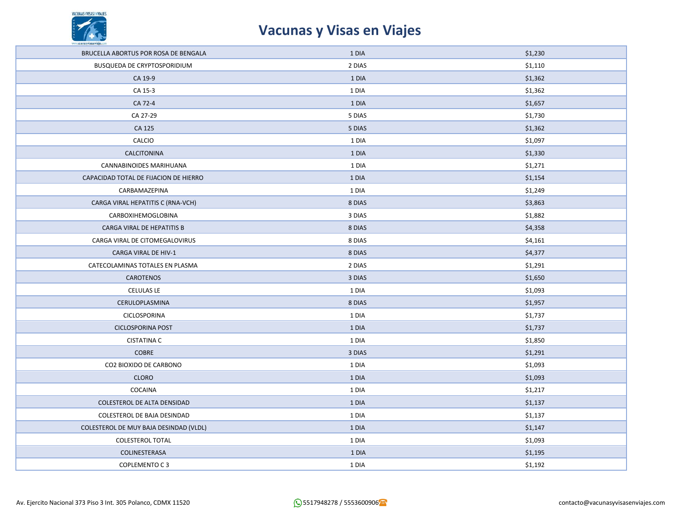

| BRUCELLA ABORTUS POR ROSA DE BENGALA   | 1 DIA  | \$1,230 |
|----------------------------------------|--------|---------|
| BUSQUEDA DE CRYPTOSPORIDIUM            | 2 DIAS | \$1,110 |
| CA 19-9                                | 1 DIA  | \$1,362 |
| CA 15-3                                | 1 DIA  | \$1,362 |
| CA 72-4                                | 1 DIA  | \$1,657 |
| CA 27-29                               | 5 DIAS | \$1,730 |
| CA 125                                 | 5 DIAS | \$1,362 |
| CALCIO                                 | 1 DIA  | \$1,097 |
| CALCITONINA                            | 1 DIA  | \$1,330 |
| <b>CANNABINOIDES MARIHUANA</b>         | 1 DIA  | \$1,271 |
| CAPACIDAD TOTAL DE FIJACION DE HIERRO  | 1 DIA  | \$1,154 |
| CARBAMAZEPINA                          | 1 DIA  | \$1,249 |
| CARGA VIRAL HEPATITIS C (RNA-VCH)      | 8 DIAS | \$3,863 |
| CARBOXIHEMOGLOBINA                     | 3 DIAS | \$1,882 |
| CARGA VIRAL DE HEPATITIS B             | 8 DIAS | \$4,358 |
| CARGA VIRAL DE CITOMEGALOVIRUS         | 8 DIAS | \$4,161 |
| CARGA VIRAL DE HIV-1                   | 8 DIAS | \$4,377 |
| CATECOLAMINAS TOTALES EN PLASMA        | 2 DIAS | \$1,291 |
| CAROTENOS                              | 3 DIAS | \$1,650 |
| CELULAS LE                             | 1 DIA  | \$1,093 |
| CERULOPLASMINA                         | 8 DIAS | \$1,957 |
| CICLOSPORINA                           | 1 DIA  | \$1,737 |
| <b>CICLOSPORINA POST</b>               | 1 DIA  | \$1,737 |
| <b>CISTATINA C</b>                     | 1 DIA  | \$1,850 |
| COBRE                                  | 3 DIAS | \$1,291 |
| CO2 BIOXIDO DE CARBONO                 | 1 DIA  | \$1,093 |
| <b>CLORO</b>                           | 1 DIA  | \$1,093 |
| COCAINA                                | 1 DIA  | \$1,217 |
| COLESTEROL DE ALTA DENSIDAD            | 1 DIA  | \$1,137 |
| COLESTEROL DE BAJA DESINDAD            | 1 DIA  | \$1,137 |
| COLESTEROL DE MUY BAJA DESINDAD (VLDL) | 1 DIA  | \$1,147 |
| <b>COLESTEROL TOTAL</b>                | 1 DIA  | \$1,093 |
| COLINESTERASA                          | 1 DIA  | \$1,195 |
| COPLEMENTO C3                          | 1 DIA  | \$1,192 |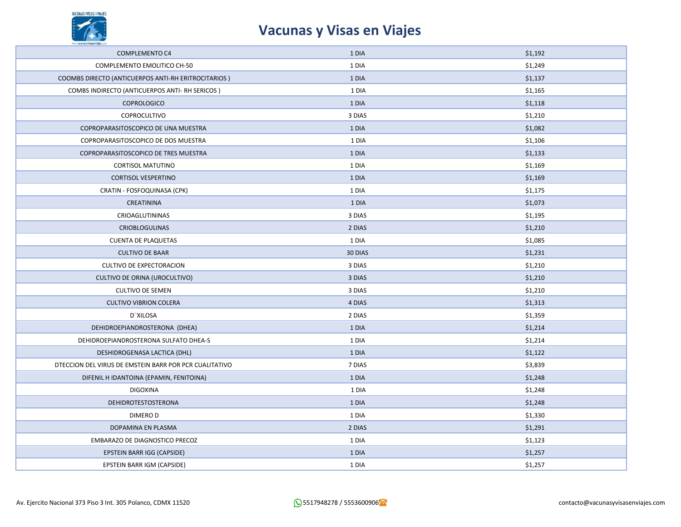

| <b>COMPLEMENTO C4</b>                                  | 1 DIA   | \$1,192 |
|--------------------------------------------------------|---------|---------|
| COMPLEMENTO EMOLITICO CH-50                            | 1 DIA   | \$1,249 |
| COOMBS DIRECTO (ANTICUERPOS ANTI-RH ERITROCITARIOS)    | 1 DIA   | \$1,137 |
| COMBS INDIRECTO (ANTICUERPOS ANTI- RH SERICOS)         | 1 DIA   | \$1,165 |
| <b>COPROLOGICO</b>                                     | 1 DIA   | \$1,118 |
| COPROCULTIVO                                           | 3 DIAS  | \$1,210 |
| COPROPARASITOSCOPICO DE UNA MUESTRA                    | 1 DIA   | \$1,082 |
| COPROPARASITOSCOPICO DE DOS MUESTRA                    | 1 DIA   | \$1,106 |
| COPROPARASITOSCOPICO DE TRES MUESTRA                   | 1 DIA   | \$1,133 |
| <b>CORTISOL MATUTINO</b>                               | 1 DIA   | \$1,169 |
| <b>CORTISOL VESPERTINO</b>                             | 1 DIA   | \$1,169 |
| CRATIN - FOSFOQUINASA (CPK)                            | 1 DIA   | \$1,175 |
| CREATININA                                             | 1 DIA   | \$1,073 |
| CRIOAGLUTININAS                                        | 3 DIAS  | \$1,195 |
| <b>CRIOBLOGULINAS</b>                                  | 2 DIAS  | \$1,210 |
| <b>CUENTA DE PLAQUETAS</b>                             | 1 DIA   | \$1,085 |
| <b>CULTIVO DE BAAR</b>                                 | 30 DIAS | \$1,231 |
| CULTIVO DE EXPECTORACION                               | 3 DIAS  | \$1,210 |
| CULTIVO DE ORINA (UROCULTIVO)                          | 3 DIAS  | \$1,210 |
| <b>CULTIVO DE SEMEN</b>                                | 3 DIAS  | \$1,210 |
| <b>CULTIVO VIBRION COLERA</b>                          | 4 DIAS  | \$1,313 |
| D"XILOSA                                               | 2 DIAS  | \$1,359 |
| DEHIDROEPIANDROSTERONA (DHEA)                          | 1 DIA   | \$1,214 |
| DEHIDROEPIANDROSTERONA SULFATO DHEA-S                  | 1 DIA   | \$1,214 |
| DESHIDROGENASA LACTICA (DHL)                           | 1 DIA   | \$1,122 |
| DTECCION DEL VIRUS DE EMSTEIN BARR POR PCR CUALITATIVO | 7 DIAS  | \$3,839 |
| DIFENIL H IDANTOINA (EPAMIN, FENITOINA)                | 1 DIA   | \$1,248 |
| <b>DIGOXINA</b>                                        | 1 DIA   | \$1,248 |
| DEHIDROTESTOSTERONA                                    | 1 DIA   | \$1,248 |
| <b>DIMEROD</b>                                         | 1 DIA   | \$1,330 |
| DOPAMINA EN PLASMA                                     | 2 DIAS  | \$1,291 |
| EMBARAZO DE DIAGNOSTICO PRECOZ                         | 1 DIA   | \$1,123 |
| EPSTEIN BARR IGG (CAPSIDE)                             | 1 DIA   | \$1,257 |
| EPSTEIN BARR IGM (CAPSIDE)                             | 1 DIA   | \$1,257 |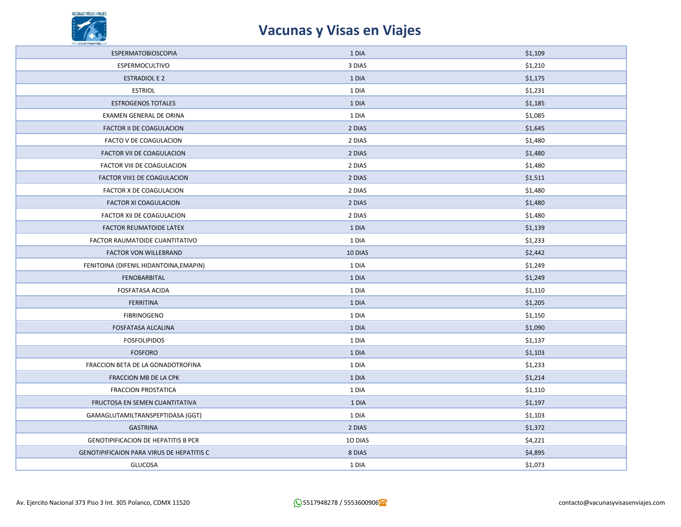

| <b>ESPERMATOBIOSCOPIA</b>                        | 1 DIA   | \$1,109 |
|--------------------------------------------------|---------|---------|
| ESPERMOCULTIVO                                   | 3 DIAS  | \$1,210 |
| <b>ESTRADIOL E 2</b>                             | 1 DIA   | \$1,175 |
| <b>ESTRIOL</b>                                   | 1 DIA   | \$1,231 |
| <b>ESTROGENOS TOTALES</b>                        | 1 DIA   | \$1,185 |
| EXAMEN GENERAL DE ORINA                          | 1 DIA   | \$1,085 |
| FACTOR II DE COAGULACION                         | 2 DIAS  | \$1,645 |
| FACTO V DE COAGULACION                           | 2 DIAS  | \$1,480 |
| FACTOR VII DE COAGULACION                        | 2 DIAS  | \$1,480 |
| FACTOR VIII DE COAGULACION                       | 2 DIAS  | \$1,480 |
| FACTOR VIII1 DE COAGULACION                      | 2 DIAS  | \$1,511 |
| FACTOR X DE COAGULACION                          | 2 DIAS  | \$1,480 |
| <b>FACTOR XI COAGULACION</b>                     | 2 DIAS  | \$1,480 |
| FACTOR XII DE COAGULACION                        | 2 DIAS  | \$1,480 |
| FACTOR REUMATOIDE LATEX                          | 1 DIA   | \$1,139 |
| FACTOR RAUMATOIDE CUANTITATIVO                   | 1 DIA   | \$1,233 |
| <b>FACTOR VON WILLEBRAND</b>                     | 10 DIAS | \$2,442 |
| FENITOINA (DIFENIL HIDANTOINA, EMAPIN)           | 1 DIA   | \$1,249 |
| FENOBARBITAL                                     | 1 DIA   | \$1,249 |
| <b>FOSFATASA ACIDA</b>                           | 1 DIA   | \$1,110 |
| <b>FERRITINA</b>                                 | 1 DIA   | \$1,205 |
| <b>FIBRINOGENO</b>                               | 1 DIA   | \$1,150 |
| FOSFATASA ALCALINA                               | 1 DIA   | \$1,090 |
| <b>FOSFOLIPIDOS</b>                              | 1 DIA   | \$1,137 |
| <b>FOSFORO</b>                                   | 1 DIA   | \$1,103 |
| FRACCION BETA DE LA GONADOTROFINA                | 1 DIA   | \$1,233 |
| FRACCION MB DE LA CPK                            | 1 DIA   | \$1,214 |
| <b>FRACCION PROSTATICA</b>                       | 1 DIA   | \$1,110 |
| FRUCTOSA EN SEMEN CUANTITATIVA                   | 1 DIA   | \$1,197 |
| GAMAGLUTAMILTRANSPEPTIDASA (GGT)                 | 1 DIA   | \$1,103 |
| <b>GASTRINA</b>                                  | 2 DIAS  | \$1,372 |
| <b>GENOTIPIFICACION DE HEPATITIS B PCR</b>       | 10 DIAS | \$4,221 |
| <b>GENOTIPIFICAION PARA VIRUS DE HEPATITIS C</b> | 8 DIAS  | \$4,895 |
| <b>GLUCOSA</b>                                   | 1 DIA   | \$1,073 |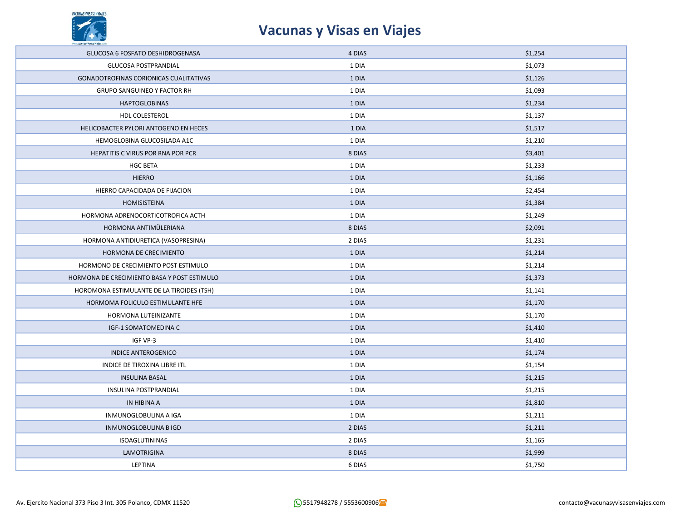

| GLUCOSA 6 FOSFATO DESHIDROGENASA            | 4 DIAS | \$1,254 |
|---------------------------------------------|--------|---------|
| GLUCOSA POSTPRANDIAL                        | 1 DIA  | \$1,073 |
| GONADOTROFINAS CORIONICAS CUALITATIVAS      | 1 DIA  | \$1,126 |
| <b>GRUPO SANGUINEO Y FACTOR RH</b>          | 1 DIA  | \$1,093 |
| <b>HAPTOGLOBINAS</b>                        | 1 DIA  | \$1,234 |
| HDL COLESTEROL                              | 1 DIA  | \$1,137 |
| HELICOBACTER PYLORI ANTOGENO EN HECES       | 1 DIA  | \$1,517 |
| HEMOGLOBINA GLUCOSILADA A1C                 | 1 DIA  | \$1,210 |
| HEPATITIS C VIRUS POR RNA POR PCR           | 8 DIAS | \$3,401 |
| <b>HGC BETA</b>                             | 1 DIA  | \$1,233 |
| <b>HIERRO</b>                               | 1 DIA  | \$1,166 |
| HIERRO CAPACIDADA DE FIJACION               | 1 DIA  | \$2,454 |
| HOMISISTEINA                                | 1 DIA  | \$1,384 |
| HORMONA ADRENOCORTICOTROFICA ACTH           | 1 DIA  | \$1,249 |
| HORMONA ANTIMÜLERIANA                       | 8 DIAS | \$2,091 |
| HORMONA ANTIDIURETICA (VASOPRESINA)         | 2 DIAS | \$1,231 |
|                                             | 1 DIA  | \$1,214 |
| HORMONA DE CRECIMIENTO                      |        |         |
| HORMONO DE CRECIMIENTO POST ESTIMULO        | 1 DIA  | \$1,214 |
| HORMONA DE CRECIMIENTO BASA Y POST ESTIMULO | 1 DIA  | \$1,373 |
| HOROMONA ESTIMULANTE DE LA TIROIDES (TSH)   | 1 DIA  | \$1,141 |
| HORMOMA FOLICULO ESTIMULANTE HFE            | 1 DIA  | \$1,170 |
| HORMONA LUTEINIZANTE                        | 1 DIA  | \$1,170 |
| IGF-1 SOMATOMEDINA C                        | 1 DIA  | \$1,410 |
| IGF VP-3                                    | 1 DIA  | \$1,410 |
| <b>INDICE ANTEROGENICO</b>                  | 1 DIA  | \$1,174 |
| INDICE DE TIROXINA LIBRE ITL                | 1 DIA  | \$1,154 |
| <b>INSULINA BASAL</b>                       | 1 DIA  | \$1,215 |
| INSULINA POSTPRANDIAL                       | 1 DIA  | \$1,215 |
| IN HIBINA A                                 | 1 DIA  | \$1,810 |
| INMUNOGLOBULINA A IGA                       | 1 DIA  | \$1,211 |
| INMUNOGLOBULINA B IGD                       | 2 DIAS | \$1,211 |
| ISOAGLUTININAS                              | 2 DIAS | \$1,165 |
| LAMOTRIGINA                                 | 8 DIAS | \$1,999 |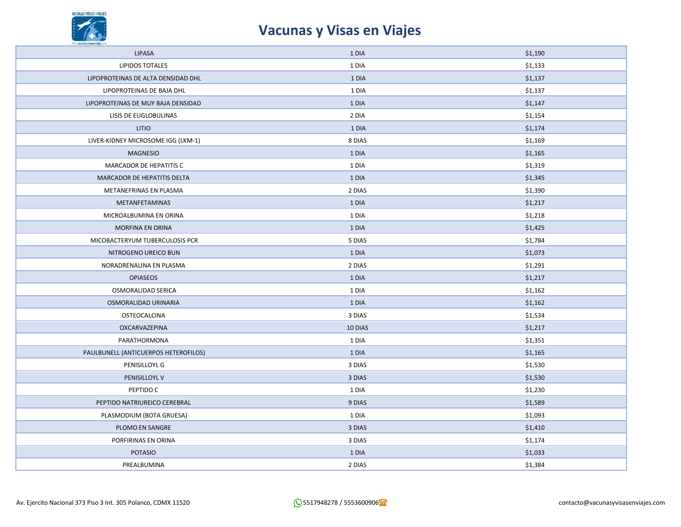

| LIPASA                               | 1 DIA   | \$1,190 |
|--------------------------------------|---------|---------|
| <b>LIPIDOS TOTALES</b>               | 1 DIA   | \$1,133 |
| LIPOPROTEINAS DE ALTA DENSIDAD DHL   | 1 DIA   | \$1,137 |
| LIPOPROTEINAS DE BAJA DHL            | 1 DIA   | \$1,137 |
| LIPOPROTEINAS DE MUY BAJA DENSIDAD   | 1 DIA   | \$1,147 |
| LISIS DE EUGLOBULINAS                | 2 DIA   | \$1,154 |
| <b>LITIO</b>                         | 1 DIA   | \$1,174 |
| LIVER-KIDNEY MICROSOME IGG (LKM-1)   | 8 DIAS  | \$1,169 |
| <b>MAGNESIO</b>                      | 1 DIA   | \$1,165 |
| MARCADOR DE HEPATITIS C              | 1 DIA   | \$1,319 |
| MARCADOR DE HEPATITIS DELTA          | 1 DIA   | \$1,345 |
| METANEFRINAS EN PLASMA               | 2 DIAS  | \$1,390 |
| METANFETAMINAS                       | 1 DIA   | \$1,217 |
| MICROALBUMINA EN ORINA               | 1 DIA   | \$1,218 |
| MORFINA EN ORINA                     | 1 DIA   | \$1,425 |
| MICOBACTERYUM TUBERCULOSIS PCR       | 5 DIAS  | \$1,784 |
| NITROGENO UREICO BUN                 | 1 DIA   | \$1,073 |
| NORADRENALINA EN PLASMA              | 2 DIAS  | \$1,291 |
| <b>OPIASEOS</b>                      | 1 DIA   | \$1,217 |
| OSMORALIDAD SERICA                   | 1 DIA   | \$1,162 |
| OSMORALIDAD URINARIA                 | 1 DIA   | \$1,162 |
| OSTEOCALCINA                         | 3 DIAS  | \$1,534 |
| OXCARVAZEPINA                        | 10 DIAS | \$1,217 |
| PARATHORMONA                         | 1 DIA   | \$1,351 |
| PAULBUNELL (ANTICUERPOS HETEROFILOS) | 1 DIA   | \$1,165 |
| PENISILLOYL G                        | 3 DIAS  | \$1,530 |
| PENISILLOYL V                        | 3 DIAS  | \$1,530 |
| PEPTIDO C                            | 1 DIA   | \$1,230 |
| PEPTIDO NATRIUREICO CEREBRAL         | 9 DIAS  | \$1,589 |
| PLASMODIUM (BOTA GRUESA)             | 1 DIA   | \$1,093 |
| PLOMO EN SANGRE                      | 3 DIAS  | \$1,410 |
| PORFIRINAS EN ORINA                  | 3 DIAS  | \$1,174 |
| <b>POTASIO</b>                       | 1 DIA   | \$1,033 |
| PREALBUMINA                          | 2 DIAS  | \$1,384 |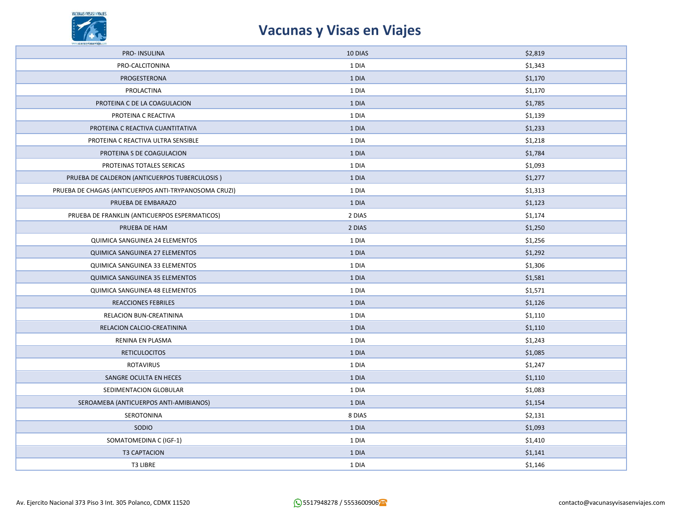

| PRO-INSULINA                                          | 10 DIAS | \$2,819 |
|-------------------------------------------------------|---------|---------|
| PRO-CALCITONINA                                       | 1 DIA   | \$1,343 |
| PROGESTERONA                                          | 1 DIA   | \$1,170 |
| PROLACTINA                                            | 1 DIA   | \$1,170 |
| PROTEINA C DE LA COAGULACION                          | 1 DIA   | \$1,785 |
| PROTEINA C REACTIVA                                   | 1 DIA   | \$1,139 |
| PROTEINA C REACTIVA CUANTITATIVA                      | 1 DIA   | \$1,233 |
| PROTEINA C REACTIVA ULTRA SENSIBLE                    | 1 DIA   | \$1,218 |
| PROTEINA S DE COAGULACION                             | 1 DIA   | \$1,784 |
| PROTEINAS TOTALES SERICAS                             | 1 DIA   | \$1,093 |
| PRUEBA DE CALDERON (ANTICUERPOS TUBERCULOSIS)         | 1 DIA   | \$1,277 |
| PRUEBA DE CHAGAS (ANTICUERPOS ANTI-TRYPANOSOMA CRUZI) | 1 DIA   | \$1,313 |
| PRUEBA DE EMBARAZO                                    | 1 DIA   | \$1,123 |
| PRUEBA DE FRANKLIN (ANTICUERPOS ESPERMATICOS)         | 2 DIAS  | \$1,174 |
| PRUEBA DE HAM                                         | 2 DIAS  | \$1,250 |
| QUIMICA SANGUINEA 24 ELEMENTOS                        | 1 DIA   | \$1,256 |
| QUIMICA SANGUINEA 27 ELEMENTOS                        | 1 DIA   | \$1,292 |
| QUIMICA SANGUINEA 33 ELEMENTOS                        | 1 DIA   | \$1,306 |
| QUIMICA SANGUINEA 35 ELEMENTOS                        | 1 DIA   | \$1,581 |
| QUIMICA SANGUINEA 48 ELEMENTOS                        | 1 DIA   | \$1,571 |
| <b>REACCIONES FEBRILES</b>                            | 1 DIA   | \$1,126 |
| RELACION BUN-CREATININA                               | 1 DIA   | \$1,110 |
| RELACION CALCIO-CREATININA                            | 1 DIA   | \$1,110 |
| RENINA EN PLASMA                                      | 1 DIA   | \$1,243 |
| <b>RETICULOCITOS</b>                                  | 1 DIA   | \$1,085 |
| ROTAVIRUS                                             | 1 DIA   | \$1,247 |
| SANGRE OCULTA EN HECES                                | 1 DIA   | \$1,110 |
| SEDIMENTACION GLOBULAR                                | 1 DIA   | \$1,083 |
| SEROAMEBA (ANTICUERPOS ANTI-AMIBIANOS)                | 1 DIA   | \$1,154 |
| SEROTONINA                                            | 8 DIAS  | \$2,131 |
| SODIO                                                 | 1 DIA   | \$1,093 |
| SOMATOMEDINA C (IGF-1)                                | 1 DIA   | \$1,410 |
| <b>T3 CAPTACION</b>                                   | 1 DIA   | \$1,141 |
| T3 LIBRE                                              | 1 DIA   | \$1,146 |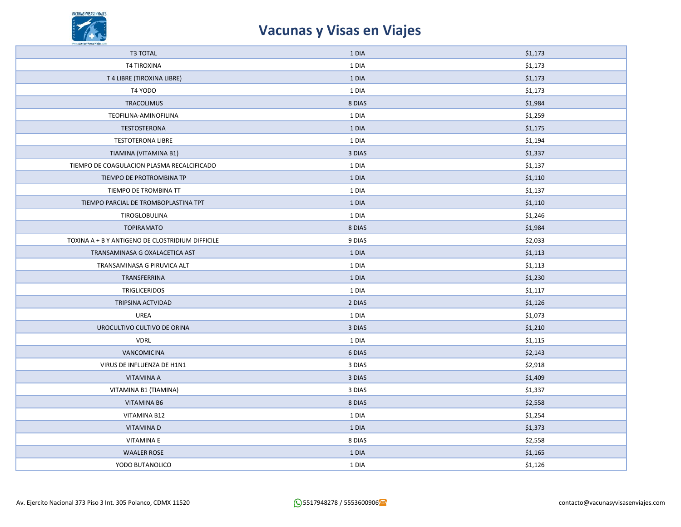

| <b>T3 TOTAL</b>                                  | 1 DIA  | \$1,173 |
|--------------------------------------------------|--------|---------|
| <b>T4 TIROXINA</b>                               | 1 DIA  | \$1,173 |
| T 4 LIBRE (TIROXINA LIBRE)                       | 1 DIA  | \$1,173 |
| T4 YODO                                          | 1 DIA  | \$1,173 |
| <b>TRACOLIMUS</b>                                | 8 DIAS | \$1,984 |
| TEOFILINA-AMINOFILINA                            | 1 DIA  | \$1,259 |
| <b>TESTOSTERONA</b>                              | 1 DIA  | \$1,175 |
| <b>TESTOTERONA LIBRE</b>                         | 1 DIA  | \$1,194 |
| TIAMINA (VITAMINA B1)                            | 3 DIAS | \$1,337 |
| TIEMPO DE COAGULACION PLASMA RECALCIFICADO       | 1 DIA  | \$1,137 |
| TIEMPO DE PROTROMBINA TP                         | 1 DIA  | \$1,110 |
| TIEMPO DE TROMBINA TT                            | 1 DIA  | \$1,137 |
| TIEMPO PARCIAL DE TROMBOPLASTINA TPT             | 1 DIA  | \$1,110 |
| TIROGLOBULINA                                    | 1 DIA  | \$1,246 |
| <b>TOPIRAMATO</b>                                | 8 DIAS | \$1,984 |
| TOXINA A + B Y ANTIGENO DE CLOSTRIDIUM DIFFICILE | 9 DIAS | \$2,033 |
| TRANSAMINASA G OXALACETICA AST                   | 1 DIA  | \$1,113 |
| TRANSAMINASA G PIRUVICA ALT                      | 1 DIA  | \$1,113 |
| TRANSFERRINA                                     | 1 DIA  | \$1,230 |
| <b>TRIGLICERIDOS</b>                             | 1 DIA  | \$1,117 |
| TRIPSINA ACTVIDAD                                | 2 DIAS | \$1,126 |
| UREA                                             | 1 DIA  | \$1,073 |
| UROCULTIVO CULTIVO DE ORINA                      | 3 DIAS | \$1,210 |
| <b>VDRL</b>                                      | 1 DIA  | \$1,115 |
| VANCOMICINA                                      | 6 DIAS | \$2,143 |
| VIRUS DE INFLUENZA DE H1N1                       | 3 DIAS | \$2,918 |
| VITAMINA A                                       | 3 DIAS | \$1,409 |
| VITAMINA B1 (TIAMINA)                            | 3 DIAS | \$1,337 |
| <b>VITAMINA B6</b>                               | 8 DIAS | \$2,558 |
| VITAMINA B12                                     | 1 DIA  | \$1,254 |
| <b>VITAMINAD</b>                                 | 1 DIA  | \$1,373 |
| <b>VITAMINA E</b>                                | 8 DIAS | \$2,558 |
| <b>WAALER ROSE</b>                               | 1 DIA  | \$1,165 |
| YODO BUTANOLICO                                  | 1 DIA  | \$1,126 |